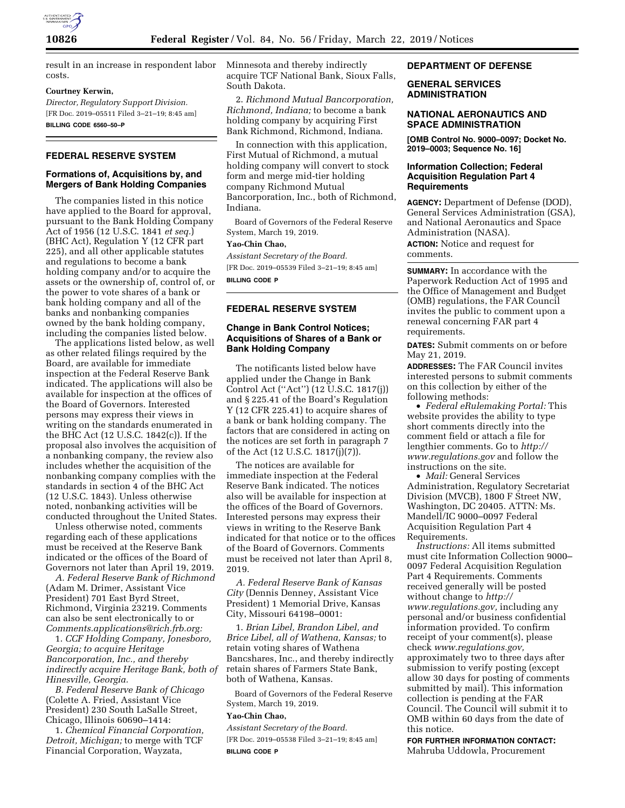

result in an increase in respondent labor costs.

### **Courtney Kerwin,**

*Director, Regulatory Support Division.*  [FR Doc. 2019–05511 Filed 3–21–19; 8:45 am] **BILLING CODE 6560–50–P** 

# **FEDERAL RESERVE SYSTEM**

## **Formations of, Acquisitions by, and Mergers of Bank Holding Companies**

The companies listed in this notice have applied to the Board for approval, pursuant to the Bank Holding Company Act of 1956 (12 U.S.C. 1841 *et seq.*) (BHC Act), Regulation Y (12 CFR part 225), and all other applicable statutes and regulations to become a bank holding company and/or to acquire the assets or the ownership of, control of, or the power to vote shares of a bank or bank holding company and all of the banks and nonbanking companies owned by the bank holding company, including the companies listed below.

The applications listed below, as well as other related filings required by the Board, are available for immediate inspection at the Federal Reserve Bank indicated. The applications will also be available for inspection at the offices of the Board of Governors. Interested persons may express their views in writing on the standards enumerated in the BHC Act (12 U.S.C. 1842(c)). If the proposal also involves the acquisition of a nonbanking company, the review also includes whether the acquisition of the nonbanking company complies with the standards in section 4 of the BHC Act (12 U.S.C. 1843). Unless otherwise noted, nonbanking activities will be conducted throughout the United States.

Unless otherwise noted, comments regarding each of these applications must be received at the Reserve Bank indicated or the offices of the Board of Governors not later than April 19, 2019.

*A. Federal Reserve Bank of Richmond*  (Adam M. Drimer, Assistant Vice President) 701 East Byrd Street, Richmond, Virginia 23219. Comments can also be sent electronically to or *[Comments.applications@rich.frb.org:](mailto:Comments.applications@rich.frb.org)* 

1. *CCF Holding Company, Jonesboro, Georgia; to acquire Heritage Bancorporation, Inc., and thereby indirectly acquire Heritage Bank, both of Hinesville, Georgia.* 

*B. Federal Reserve Bank of Chicago*  (Colette A. Fried, Assistant Vice President) 230 South LaSalle Street, Chicago, Illinois 60690–1414:

1. *Chemical Financial Corporation, Detroit, Michigan;* to merge with TCF Financial Corporation, Wayzata,

Minnesota and thereby indirectly acquire TCF National Bank, Sioux Falls, South Dakota.

2. *Richmond Mutual Bancorporation, Richmond, Indiana;* to become a bank holding company by acquiring First Bank Richmond, Richmond, Indiana.

In connection with this application, First Mutual of Richmond, a mutual holding company will convert to stock form and merge mid-tier holding company Richmond Mutual Bancorporation, Inc., both of Richmond, Indiana.

Board of Governors of the Federal Reserve System, March 19, 2019.

### **Yao-Chin Chao,**

*Assistant Secretary of the Board.*  [FR Doc. 2019–05539 Filed 3–21–19; 8:45 am] **BILLING CODE P** 

# **FEDERAL RESERVE SYSTEM**

# **Change in Bank Control Notices; Acquisitions of Shares of a Bank or Bank Holding Company**

The notificants listed below have applied under the Change in Bank Control Act (''Act'') (12 U.S.C. 1817(j)) and § 225.41 of the Board's Regulation Y (12 CFR 225.41) to acquire shares of a bank or bank holding company. The factors that are considered in acting on the notices are set forth in paragraph 7 of the Act (12 U.S.C. 1817(j)(7)).

The notices are available for immediate inspection at the Federal Reserve Bank indicated. The notices also will be available for inspection at the offices of the Board of Governors. Interested persons may express their views in writing to the Reserve Bank indicated for that notice or to the offices of the Board of Governors. Comments must be received not later than April 8, 2019.

*A. Federal Reserve Bank of Kansas City* (Dennis Denney, Assistant Vice President) 1 Memorial Drive, Kansas City, Missouri 64198–0001:

1. *Brian Libel, Brandon Libel, and Brice Libel, all of Wathena, Kansas;* to retain voting shares of Wathena Bancshares, Inc., and thereby indirectly retain shares of Farmers State Bank, both of Wathena, Kansas.

Board of Governors of the Federal Reserve System, March 19, 2019.

### **Yao-Chin Chao,**

*Assistant Secretary of the Board.*  [FR Doc. 2019–05538 Filed 3–21–19; 8:45 am] **BILLING CODE P** 

## **DEPARTMENT OF DEFENSE**

# **GENERAL SERVICES ADMINISTRATION**

### **NATIONAL AERONAUTICS AND SPACE ADMINISTRATION**

**[OMB Control No. 9000–0097; Docket No. 2019–0003; Sequence No. 16]** 

## **Information Collection; Federal Acquisition Regulation Part 4 Requirements**

**AGENCY:** Department of Defense (DOD), General Services Administration (GSA), and National Aeronautics and Space Administration (NASA). **ACTION:** Notice and request for comments.

**SUMMARY:** In accordance with the Paperwork Reduction Act of 1995 and the Office of Management and Budget (OMB) regulations, the FAR Council invites the public to comment upon a renewal concerning FAR part 4 requirements.

**DATES:** Submit comments on or before May 21, 2019.

**ADDRESSES:** The FAR Council invites interested persons to submit comments on this collection by either of the following methods:

• *Federal eRulemaking Portal:* This website provides the ability to type short comments directly into the comment field or attach a file for lengthier comments. Go to *[http://](http://www.regulations.gov) [www.regulations.gov](http://www.regulations.gov)* and follow the instructions on the site.

• *Mail:* General Services Administration, Regulatory Secretariat Division (MVCB), 1800 F Street NW, Washington, DC 20405. ATTN: Ms. Mandell/IC 9000–0097 Federal Acquisition Regulation Part 4 Requirements.

*Instructions:* All items submitted must cite Information Collection 9000– 0097 Federal Acquisition Regulation Part 4 Requirements. Comments received generally will be posted without change to *[http://](http://www.regulations.gov) [www.regulations.gov,](http://www.regulations.gov)* including any personal and/or business confidential information provided. To confirm receipt of your comment(s), please check *[www.regulations.gov,](http://www.regulations.gov)*  approximately two to three days after submission to verify posting (except allow 30 days for posting of comments submitted by mail). This information collection is pending at the FAR Council. The Council will submit it to OMB within 60 days from the date of this notice.

**FOR FURTHER INFORMATION CONTACT:**  Mahruba Uddowla, Procurement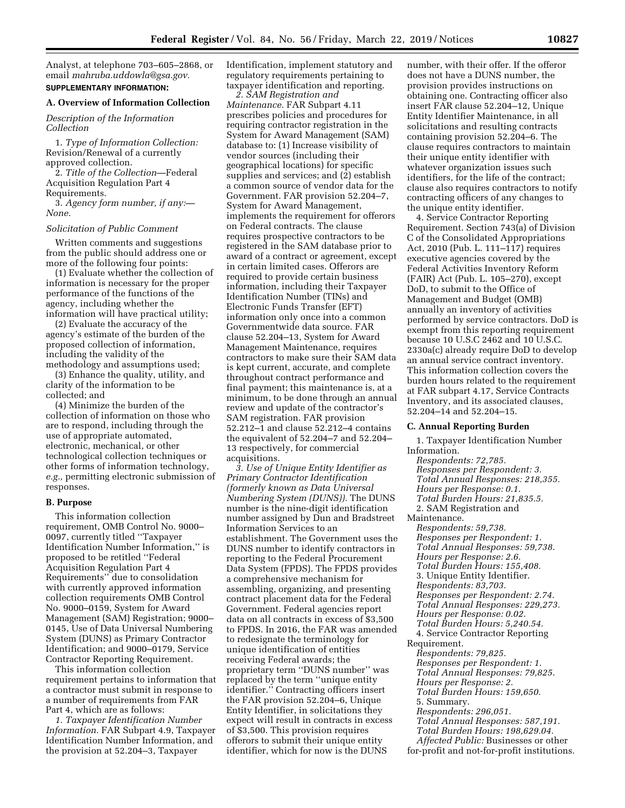Analyst, at telephone 703–605–2868, or email *[mahruba.uddowla@gsa.gov.](mailto:mahruba.uddowla@gsa.gov)*  **SUPPLEMENTARY INFORMATION:** 

### **A. Overview of Information Collection**

*Description of the Information Collection* 

1. *Type of Information Collection:*  Revision/Renewal of a currently approved collection.

2. *Title of the Collection*—Federal Acquisition Regulation Part 4 Requirements.

3. *Agency form number, if any:— None.* 

#### *Solicitation of Public Comment*

Written comments and suggestions from the public should address one or more of the following four points:

(1) Evaluate whether the collection of information is necessary for the proper performance of the functions of the agency, including whether the information will have practical utility;

(2) Evaluate the accuracy of the agency's estimate of the burden of the proposed collection of information, including the validity of the methodology and assumptions used;

(3) Enhance the quality, utility, and clarity of the information to be collected; and

(4) Minimize the burden of the collection of information on those who are to respond, including through the use of appropriate automated, electronic, mechanical, or other technological collection techniques or other forms of information technology, *e.g.,* permitting electronic submission of responses.

#### **B. Purpose**

This information collection requirement, OMB Control No. 9000– 0097, currently titled ''Taxpayer Identification Number Information,'' is proposed to be retitled ''Federal Acquisition Regulation Part 4 Requirements'' due to consolidation with currently approved information collection requirements OMB Control No. 9000–0159, System for Award Management (SAM) Registration; 9000– 0145, Use of Data Universal Numbering System (DUNS) as Primary Contractor Identification; and 9000–0179, Service Contractor Reporting Requirement.

This information collection requirement pertains to information that a contractor must submit in response to a number of requirements from FAR Part 4, which are as follows:

*1. Taxpayer Identification Number Information.* FAR Subpart 4.9, Taxpayer Identification Number Information, and the provision at 52.204–3, Taxpayer

Identification, implement statutory and regulatory requirements pertaining to taxpayer identification and reporting.

*2. SAM Registration and Maintenance.* FAR Subpart 4.11 prescribes policies and procedures for requiring contractor registration in the System for Award Management (SAM) database to: (1) Increase visibility of vendor sources (including their geographical locations) for specific supplies and services; and (2) establish a common source of vendor data for the Government. FAR provision 52.204–7, System for Award Management, implements the requirement for offerors on Federal contracts. The clause requires prospective contractors to be registered in the SAM database prior to award of a contract or agreement, except in certain limited cases. Offerors are required to provide certain business information, including their Taxpayer Identification Number (TINs) and Electronic Funds Transfer (EFT) information only once into a common Governmentwide data source. FAR clause 52.204–13, System for Award Management Maintenance, requires contractors to make sure their SAM data is kept current, accurate, and complete throughout contract performance and final payment; this maintenance is, at a minimum, to be done through an annual review and update of the contractor's SAM registration. FAR provision 52.212–1 and clause 52.212–4 contains the equivalent of 52.204–7 and 52.204– 13 respectively, for commercial acquisitions.

*3. Use of Unique Entity Identifier as Primary Contractor Identification (formerly known as Data Universal Numbering System (DUNS)).* The DUNS number is the nine-digit identification number assigned by Dun and Bradstreet Information Services to an establishment. The Government uses the DUNS number to identify contractors in reporting to the Federal Procurement Data System (FPDS). The FPDS provides a comprehensive mechanism for assembling, organizing, and presenting contract placement data for the Federal Government. Federal agencies report data on all contracts in excess of \$3,500 to FPDS. In 2016, the FAR was amended to redesignate the terminology for unique identification of entities receiving Federal awards; the proprietary term ''DUNS number'' was replaced by the term ''unique entity identifier.'' Contracting officers insert the FAR provision 52.204–6, Unique Entity Identifier, in solicitations they expect will result in contracts in excess of \$3,500. This provision requires offerors to submit their unique entity identifier, which for now is the DUNS

number, with their offer. If the offeror does not have a DUNS number, the provision provides instructions on obtaining one. Contracting officer also insert FAR clause 52.204–12, Unique Entity Identifier Maintenance, in all solicitations and resulting contracts containing provision 52.204–6. The clause requires contractors to maintain their unique entity identifier with whatever organization issues such identifiers, for the life of the contract; clause also requires contractors to notify contracting officers of any changes to the unique entity identifier.

4. Service Contractor Reporting Requirement. Section 743(a) of Division C of the Consolidated Appropriations Act, 2010 (Pub. L. 111–117) requires executive agencies covered by the Federal Activities Inventory Reform (FAIR) Act (Pub. L. 105–270), except DoD, to submit to the Office of Management and Budget (OMB) annually an inventory of activities performed by service contractors. DoD is exempt from this reporting requirement because 10 U.S.C 2462 and 10 U.S.C. 2330a(c) already require DoD to develop an annual service contract inventory. This information collection covers the burden hours related to the requirement at FAR subpart 4.17, Service Contracts Inventory, and its associated clauses, 52.204–14 and 52.204–15.

#### **C. Annual Reporting Burden**

1. Taxpayer Identification Number Information. *Respondents: 72,785. Responses per Respondent: 3. Total Annual Responses: 218,355. Hours per Response: 0.1. Total Burden Hours: 21,835.5.*  2. SAM Registration and Maintenance. *Respondents: 59,738. Responses per Respondent: 1. Total Annual Responses: 59,738. Hours per Response: 2.6. Total Burden Hours: 155,408.*  3. Unique Entity Identifier. *Respondents: 83,703. Responses per Respondent: 2.74. Total Annual Responses: 229,273. Hours per Response: 0.02. Total Burden Hours: 5,240.54.*  4. Service Contractor Reporting Requirement. *Respondents: 79,825. Responses per Respondent: 1. Total Annual Responses: 79,825. Hours per Response: 2. Total Burden Hours: 159,650.*  5. Summary. *Respondents: 296,051. Total Annual Responses: 587,191. Total Burden Hours: 198,629.04. Affected Public:* Businesses or other for-profit and not-for-profit institutions.